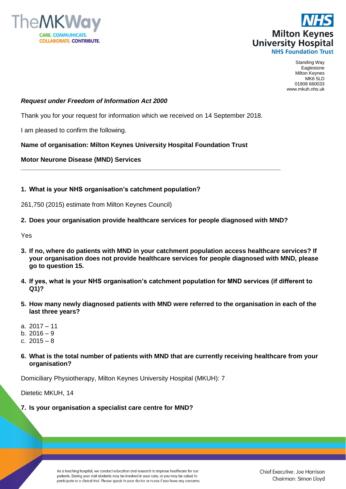



Standing Way Eaglestone Milton Keynes MK6 5LD 01908 660033 www.mkuh.nhs.uk

### *Request under Freedom of Information Act 2000*

Thank you for your request for information which we received on 14 September 2018.

I am pleased to confirm the following.

### **Name of organisation: Milton Keynes University Hospital Foundation Trust**

#### **Motor Neurone Disease (MND) Services**

### **1. What is your NHS organisation's catchment population?**

261,750 (2015) estimate from Milton Keynes Council)

#### **2. Does your organisation provide healthcare services for people diagnosed with MND?**

**\_\_\_\_\_\_\_\_\_\_\_\_\_\_\_\_\_\_\_\_\_\_\_\_\_\_\_\_\_\_\_\_\_\_\_\_\_\_\_\_\_\_\_\_\_\_\_\_\_\_\_\_\_\_\_\_\_\_\_\_\_\_\_\_\_\_\_\_\_\_\_\_\_**

Yes

- **3. If no, where do patients with MND in your catchment population access healthcare services? If your organisation does not provide healthcare services for people diagnosed with MND, please go to question 15.**
- **4. If yes, what is your NHS organisation's catchment population for MND services (if different to Q1)?**
- **5. How many newly diagnosed patients with MND were referred to the organisation in each of the last three years?**
- a. 2017 11
- b. 2016 9
- c. 2015 8
- **6. What is the total number of patients with MND that are currently receiving healthcare from your organisation?**

Domiciliary Physiotherapy, Milton Keynes University Hospital (MKUH): 7

Dietetic MKUH, 14

**7. Is your organisation a specialist care centre for MND?**

As a teaching hospital, we conduct education and research to improve healthcare for our patients. During your visit students may be involved in your care, or you may be asked to participate in a clinical trial. Please speak to your doctor or nurse if you have any concerns.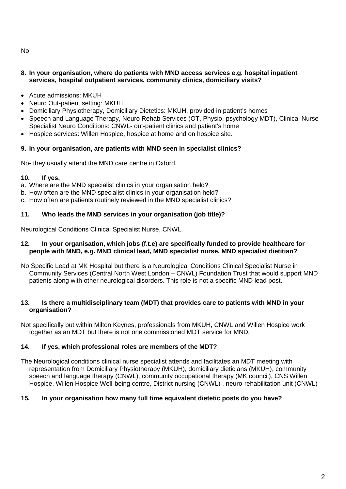# **8. In your organisation, where do patients with MND access services e.g. hospital inpatient services, hospital outpatient services, community clinics, domiciliary visits?**

- Acute admissions: MKUH
- Neuro Out-patient setting: MKUH
- Domiciliary Physiotherapy, Domiciliary Dietetics: MKUH, provided in patient's homes
- Speech and Language Therapy, Neuro Rehab Services (OT, Physio, psychology MDT), Clinical Nurse Specialist Neuro Conditions: CNWL- out-patient clinics and patient's home
- Hospice services: Willen Hospice, hospice at home and on hospice site.

# **9. In your organisation, are patients with MND seen in specialist clinics?**

No- they usually attend the MND care centre in Oxford.

# **10. If yes,**

a. Where are the MND specialist clinics in your organisation held?

- b. How often are the MND specialist clinics in your organisation held?
- c. How often are patients routinely reviewed in the MND specialist clinics?

## **11. Who leads the MND services in your organisation (job title)?**

Neurological Conditions Clinical Specialist Nurse, CNWL.

### **12. In your organisation, which jobs (f.t.e) are specifically funded to provide healthcare for people with MND, e.g. MND clinical lead, MND specialist nurse, MND specialist dietitian?**

No Specific Lead at MK Hospital but there is a Neurological Conditions Clinical Specialist Nurse in Community Services (Central North West London – CNWL) Foundation Trust that would support MND patients along with other neurological disorders. This role is not a specific MND lead post.

## **13. Is there a multidisciplinary team (MDT) that provides care to patients with MND in your organisation?**

Not specifically but within Milton Keynes, professionals from MKUH, CNWL and Willen Hospice work together as an MDT but there is not one commissioned MDT service for MND.

## **14. If yes, which professional roles are members of the MDT?**

The Neurological conditions clinical nurse specialist attends and facilitates an MDT meeting with representation from Domiciliary Physiotherapy (MKUH), domiciliary dieticians (MKUH), community speech and language therapy (CNWL), community occupational therapy (MK council), CNS Willen Hospice, Willen Hospice Well-being centre, District nursing (CNWL) , neuro-rehabilitation unit (CNWL)

## **15. In your organisation how many full time equivalent dietetic posts do you have?**

No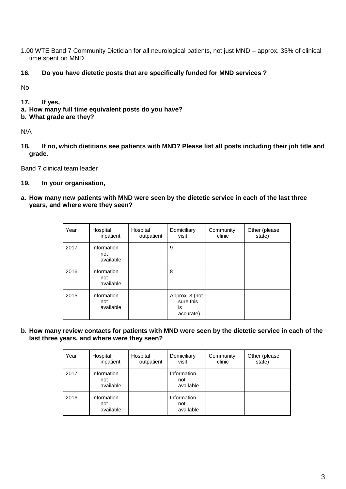1.00 WTE Band 7 Community Dietician for all neurological patients, not just MND – approx. 33% of clinical time spent on MND

# **16. Do you have dietetic posts that are specifically funded for MND services ?**

No

# **17. If yes,**

- **a. How many full time equivalent posts do you have?**
- **b. What grade are they?**

N/A

**18. If no, which dietitians see patients with MND? Please list all posts including their job title and grade.**

Band 7 clinical team leader

# **19. In your organisation,**

**a. How many new patients with MND were seen by the dietetic service in each of the last three years, and where were they seen?**

| Year | Hospital<br>inpatient           | Hospital<br>outpatient | Domiciliary<br>visit                           | Community<br>clinic | Other (please<br>state) |
|------|---------------------------------|------------------------|------------------------------------------------|---------------------|-------------------------|
| 2017 | Information<br>not<br>available |                        | 9                                              |                     |                         |
| 2016 | Information<br>not<br>available |                        | 8                                              |                     |                         |
| 2015 | Information<br>not<br>available |                        | Approx. 3 (not<br>sure this<br>is<br>accurate) |                     |                         |

**b. How many review contacts for patients with MND were seen by the dietetic service in each of the last three years, and where were they seen?**

| Year | Hospital<br>inpatient           | Hospital<br>outpatient | Domiciliary<br>visit            | Community<br>clinic | Other (please<br>state) |
|------|---------------------------------|------------------------|---------------------------------|---------------------|-------------------------|
| 2017 | Information<br>not<br>available |                        | Information<br>not<br>available |                     |                         |
| 2016 | Information<br>not<br>available |                        | Information<br>not<br>available |                     |                         |